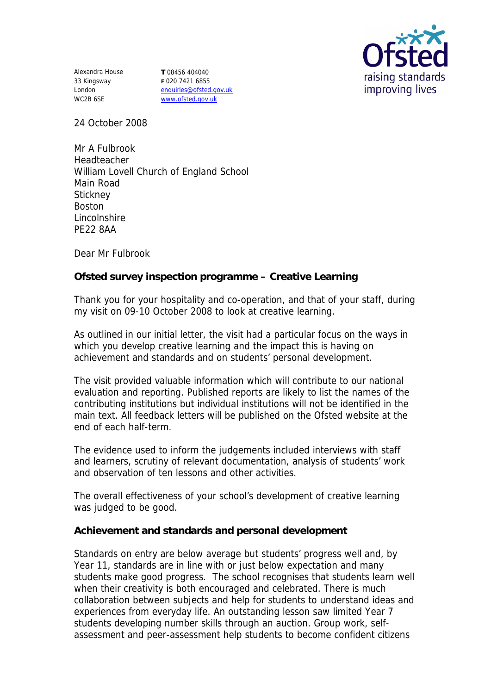

Alexandra House 33 Kingsway London WC2B 6SE

**T** 08456 404040 **F** 020 7421 6855 enquiries@ofsted.gov.uk www.ofsted.gov.uk

24 October 2008

Mr A Fulbrook Headteacher William Lovell Church of England School Main Road **Stickney** Boston Lincolnshire PE22 8AA

Dear Mr Fulbrook

**Ofsted survey inspection programme – Creative Learning** 

Thank you for your hospitality and co-operation, and that of your staff, during my visit on 09-10 October 2008 to look at creative learning.

As outlined in our initial letter, the visit had a particular focus on the ways in which you develop creative learning and the impact this is having on achievement and standards and on students' personal development.

The visit provided valuable information which will contribute to our national evaluation and reporting. Published reports are likely to list the names of the contributing institutions but individual institutions will not be identified in the main text. All feedback letters will be published on the Ofsted website at the end of each half-term.

The evidence used to inform the judgements included interviews with staff and learners, scrutiny of relevant documentation, analysis of students' work and observation of ten lessons and other activities.

The overall effectiveness of your school's development of creative learning was judged to be good.

**Achievement and standards and personal development**

Standards on entry are below average but students' progress well and, by Year 11, standards are in line with or just below expectation and many students make good progress. The school recognises that students learn well when their creativity is both encouraged and celebrated. There is much collaboration between subjects and help for students to understand ideas and experiences from everyday life. An outstanding lesson saw limited Year 7 students developing number skills through an auction. Group work, selfassessment and peer-assessment help students to become confident citizens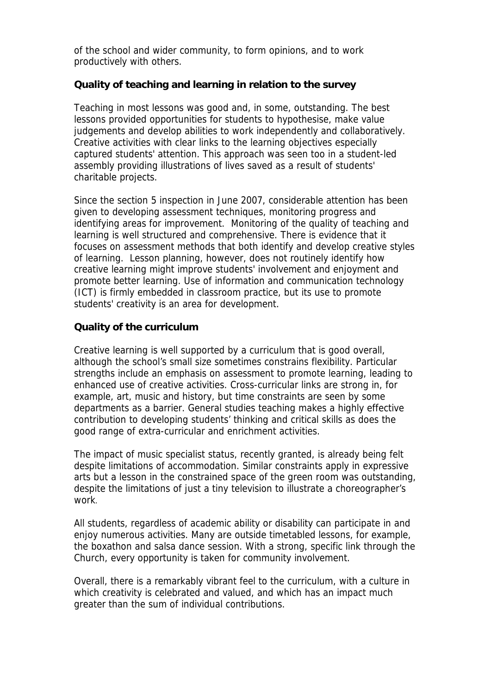of the school and wider community, to form opinions, and to work productively with others.

**Quality of teaching and learning in relation to the survey**

Teaching in most lessons was good and, in some, outstanding. The best lessons provided opportunities for students to hypothesise, make value judgements and develop abilities to work independently and collaboratively. Creative activities with clear links to the learning objectives especially captured students' attention. This approach was seen too in a student-led assembly providing illustrations of lives saved as a result of students' charitable projects.

Since the section 5 inspection in June 2007, considerable attention has been given to developing assessment techniques, monitoring progress and identifying areas for improvement. Monitoring of the quality of teaching and learning is well structured and comprehensive. There is evidence that it focuses on assessment methods that both identify and develop creative styles of learning. Lesson planning, however, does not routinely identify how creative learning might improve students' involvement and enjoyment and promote better learning. Use of information and communication technology (ICT) is firmly embedded in classroom practice, but its use to promote students' creativity is an area for development.

## **Quality of the curriculum**

Creative learning is well supported by a curriculum that is good overall, although the school's small size sometimes constrains flexibility. Particular strengths include an emphasis on assessment to promote learning, leading to enhanced use of creative activities. Cross-curricular links are strong in, for example, art, music and history, but time constraints are seen by some departments as a barrier. General studies teaching makes a highly effective contribution to developing students' thinking and critical skills as does the good range of extra-curricular and enrichment activities.

The impact of music specialist status, recently granted, is already being felt despite limitations of accommodation. Similar constraints apply in expressive arts but a lesson in the constrained space of the green room was outstanding, despite the limitations of just a tiny television to illustrate a choreographer's work.

All students, regardless of academic ability or disability can participate in and enjoy numerous activities. Many are outside timetabled lessons, for example, the boxathon and salsa dance session. With a strong, specific link through the Church, every opportunity is taken for community involvement.

Overall, there is a remarkably vibrant feel to the curriculum, with a culture in which creativity is celebrated and valued, and which has an impact much greater than the sum of individual contributions.